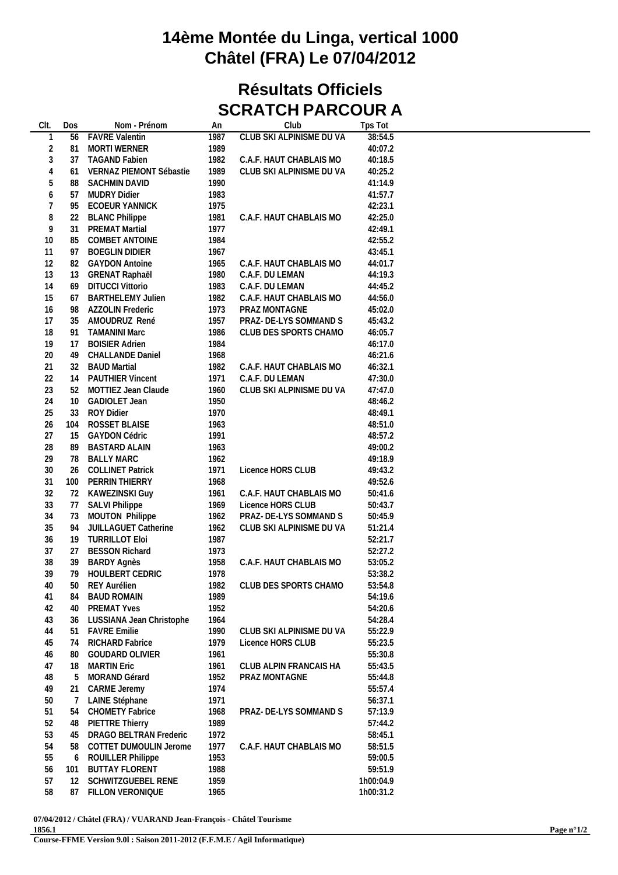## **14ème Montée du Linga, vertical 1000 Châtel (FRA) Le 07/04/2012**

## **Résultats Officiels SCRATCH PARCOUR A**

| <b>CLUB SKI ALPINISME DU VA</b><br>38:54.5<br><b>FAVRE Valentin</b><br>1987<br>1<br>56<br>$\overline{c}$<br>1989<br>40:07.2<br>81<br><b>MORTI WERNER</b><br>$\mathfrak{Z}$<br>1982<br>40:18.5<br>37<br><b>TAGAND Fabien</b><br>C.A.F. HAUT CHABLAIS MO<br>4<br>1989<br>40:25.2<br>VERNAZ PIEMONT Sébastie<br>CLUB SKI ALPINISME DU VA<br>61<br>5<br>1990<br>88<br><b>SACHMIN DAVID</b><br>41:14.9<br>6<br><b>MUDRY Didier</b><br>1983<br>41:57.7<br>57<br>7<br><b>ECOEUR YANNICK</b><br>1975<br>42:23.1<br>95<br>8<br>1981<br>42:25.0<br>22<br><b>BLANC Philippe</b><br>C.A.F. HAUT CHABLAIS MO<br>9<br>1977<br>31<br><b>PREMAT Martial</b><br>42:49.1<br>10<br>85<br>COMBET ANTOINE<br>1984<br>42:55.2<br>11<br><b>BOEGLIN DIDIER</b><br>1967<br>43:45.1<br>97<br>12<br>82<br><b>GAYDON Antoine</b><br>1965<br>C.A.F. HAUT CHABLAIS MO<br>44:01.7<br>13<br>1980<br><b>GRENAT Raphaël</b><br>C.A.F. DU LEMAN<br>44:19.3<br>13<br>14<br>1983<br><b>DITUCCI Vittorio</b><br>C.A.F. DU LEMAN<br>44:45.2<br>69<br>15<br>1982<br>67<br><b>BARTHELEMY Julien</b><br>C.A.F. HAUT CHABLAIS MO<br>44:56.0<br>16<br>1973<br>PRAZ MONTAGNE<br><b>AZZOLIN Frederic</b><br>45:02.0<br>98<br>17<br>35<br>AMOUDRUZ René<br>1957<br>PRAZ- DE-LYS SOMMAND S<br>45:43.2<br>18<br>1986<br><b>TAMANINI Marc</b><br>CLUB DES SPORTS CHAMO<br>46:05.7<br>91<br>19<br>1984<br>46:17.0<br><b>BOISIER Adrien</b><br>17<br>20<br><b>CHALLANDE Daniel</b><br>1968<br>46:21.6<br>49<br>21<br>1982<br>32<br><b>BAUD Martial</b><br>C.A.F. HAUT CHABLAIS MO<br>46:32.1<br>22<br><b>PAUTHIER Vincent</b><br>1971<br>47:30.0<br>C.A.F. DU LEMAN<br>14<br>23<br>52<br>MOTTIEZ Jean Claude<br>1960<br>CLUB SKI ALPINISME DU VA<br>47:47.0<br>24<br>1950<br>10<br><b>GADIOLET Jean</b><br>48:46.2<br>25<br>1970<br><b>ROY Didier</b><br>48:49.1<br>33<br>26<br><b>ROSSET BLAISE</b><br>1963<br>48:51.0<br>104<br>27<br>1991<br>15<br><b>GAYDON Cédric</b><br>48:57.2<br>28<br><b>BASTARD ALAIN</b><br>1963<br>89<br>49:00.2<br>29<br>1962<br>49:18.9<br>78<br><b>BALLY MARC</b><br>30<br>1971<br><b>COLLINET Patrick</b><br>Licence HORS CLUB<br>49:43.2<br>26<br>31<br>49:52.6<br>PERRIN THIERRY<br>1968<br>100<br>32<br>50:41.6<br>72<br>KAWEZINSKI Guy<br>1961<br>C.A.F. HAUT CHABLAIS MO<br>33<br><b>SALVI Philippe</b><br>1969<br>Licence HORS CLUB<br>50:43.7<br>77<br>34<br>MOUTON Philippe<br>1962<br>50:45.9<br>73<br>PRAZ- DE-LYS SOMMAND S<br>35<br>1962<br>JUILLAGUET Catherine<br>CLUB SKI ALPINISME DU VA<br>51:21.4<br>94<br>36<br>19<br><b>TURRILLOT Eloi</b><br>1987<br>52:21.7<br>37<br>27<br><b>BESSON Richard</b><br>1973<br>52:27.2<br>38<br>1958<br>53:05.2<br><b>BARDY Agnès</b><br>C.A.F. HAUT CHABLAIS MO<br>39<br>39<br>79<br><b>HOULBERT CEDRIC</b><br>1978<br>53:38.2<br>1982<br>CLUB DES SPORTS CHAMO<br>40<br>50<br>53:54.8<br>REY Aurélien<br>1989<br>41<br><b>BAUD ROMAIN</b><br>54:19.6<br>84<br>42<br>1952<br>54:20.6<br><b>PREMAT Yves</b><br>40<br>43<br>54:28.4<br>LUSSIANA Jean Christophe<br>1964<br>36<br>44<br>1990<br>55:22.9<br><b>FAVRE Emilie</b><br>CLUB SKI ALPINISME DU VA<br>51<br>45<br>1979<br>55:23.5<br>RICHARD Fabrice<br>Licence HORS CLUB<br>74<br>46<br>GOUDARD OLIVIER<br>1961<br>55:30.8<br>80<br>47<br><b>MARTIN Eric</b><br>1961<br>55:43.5<br>18<br>CLUB ALPIN FRANCAIS HA<br>48<br>MORAND Gérard<br>1952<br>55:44.8<br>5<br>PRAZ MONTAGNE<br>49<br><b>CARME Jeremy</b><br>1974<br>55:57.4<br>21<br>50<br>LAINE Stéphane<br>1971<br>56:37.1<br>7<br>51<br><b>CHOMETY Fabrice</b><br>1968<br>57:13.9<br>PRAZ- DE-LYS SOMMAND S<br>54<br>52<br><b>PIETTRE Thierry</b><br>1989<br>57:44.2<br>48<br>53<br>DRAGO BELTRAN Frederic<br>1972<br>58:45.1<br>45<br>54<br>COTTET DUMOULIN Jerome<br>1977<br>58:51.5<br>58<br>C.A.F. HAUT CHABLAIS MO<br>55<br>1953<br>6<br>ROUILLER Philippe<br>59:00.5<br>56<br><b>BUTTAY FLORENT</b><br>1988<br>59:51.9<br>101 | CIt. | Dos | Nom - Prénom | An | Club | Tps Tot |  |
|----------------------------------------------------------------------------------------------------------------------------------------------------------------------------------------------------------------------------------------------------------------------------------------------------------------------------------------------------------------------------------------------------------------------------------------------------------------------------------------------------------------------------------------------------------------------------------------------------------------------------------------------------------------------------------------------------------------------------------------------------------------------------------------------------------------------------------------------------------------------------------------------------------------------------------------------------------------------------------------------------------------------------------------------------------------------------------------------------------------------------------------------------------------------------------------------------------------------------------------------------------------------------------------------------------------------------------------------------------------------------------------------------------------------------------------------------------------------------------------------------------------------------------------------------------------------------------------------------------------------------------------------------------------------------------------------------------------------------------------------------------------------------------------------------------------------------------------------------------------------------------------------------------------------------------------------------------------------------------------------------------------------------------------------------------------------------------------------------------------------------------------------------------------------------------------------------------------------------------------------------------------------------------------------------------------------------------------------------------------------------------------------------------------------------------------------------------------------------------------------------------------------------------------------------------------------------------------------------------------------------------------------------------------------------------------------------------------------------------------------------------------------------------------------------------------------------------------------------------------------------------------------------------------------------------------------------------------------------------------------------------------------------------------------------------------------------------------------------------------------------------------------------------------------------------------------------------------------------------------------------------------------------------------------------------------------------------------------------------------------------------------------------------------------------------------------------------------------------------------------------------------------------------------------------------------------------------------------------------------------------------------------------------------------------------------------------------------------------------------------------------------------------------------------------------------------------------------------------------------------------------|------|-----|--------------|----|------|---------|--|
|                                                                                                                                                                                                                                                                                                                                                                                                                                                                                                                                                                                                                                                                                                                                                                                                                                                                                                                                                                                                                                                                                                                                                                                                                                                                                                                                                                                                                                                                                                                                                                                                                                                                                                                                                                                                                                                                                                                                                                                                                                                                                                                                                                                                                                                                                                                                                                                                                                                                                                                                                                                                                                                                                                                                                                                                                                                                                                                                                                                                                                                                                                                                                                                                                                                                                                                                                                                                                                                                                                                                                                                                                                                                                                                                                                                                                                                                                  |      |     |              |    |      |         |  |
|                                                                                                                                                                                                                                                                                                                                                                                                                                                                                                                                                                                                                                                                                                                                                                                                                                                                                                                                                                                                                                                                                                                                                                                                                                                                                                                                                                                                                                                                                                                                                                                                                                                                                                                                                                                                                                                                                                                                                                                                                                                                                                                                                                                                                                                                                                                                                                                                                                                                                                                                                                                                                                                                                                                                                                                                                                                                                                                                                                                                                                                                                                                                                                                                                                                                                                                                                                                                                                                                                                                                                                                                                                                                                                                                                                                                                                                                                  |      |     |              |    |      |         |  |
|                                                                                                                                                                                                                                                                                                                                                                                                                                                                                                                                                                                                                                                                                                                                                                                                                                                                                                                                                                                                                                                                                                                                                                                                                                                                                                                                                                                                                                                                                                                                                                                                                                                                                                                                                                                                                                                                                                                                                                                                                                                                                                                                                                                                                                                                                                                                                                                                                                                                                                                                                                                                                                                                                                                                                                                                                                                                                                                                                                                                                                                                                                                                                                                                                                                                                                                                                                                                                                                                                                                                                                                                                                                                                                                                                                                                                                                                                  |      |     |              |    |      |         |  |
|                                                                                                                                                                                                                                                                                                                                                                                                                                                                                                                                                                                                                                                                                                                                                                                                                                                                                                                                                                                                                                                                                                                                                                                                                                                                                                                                                                                                                                                                                                                                                                                                                                                                                                                                                                                                                                                                                                                                                                                                                                                                                                                                                                                                                                                                                                                                                                                                                                                                                                                                                                                                                                                                                                                                                                                                                                                                                                                                                                                                                                                                                                                                                                                                                                                                                                                                                                                                                                                                                                                                                                                                                                                                                                                                                                                                                                                                                  |      |     |              |    |      |         |  |
|                                                                                                                                                                                                                                                                                                                                                                                                                                                                                                                                                                                                                                                                                                                                                                                                                                                                                                                                                                                                                                                                                                                                                                                                                                                                                                                                                                                                                                                                                                                                                                                                                                                                                                                                                                                                                                                                                                                                                                                                                                                                                                                                                                                                                                                                                                                                                                                                                                                                                                                                                                                                                                                                                                                                                                                                                                                                                                                                                                                                                                                                                                                                                                                                                                                                                                                                                                                                                                                                                                                                                                                                                                                                                                                                                                                                                                                                                  |      |     |              |    |      |         |  |
|                                                                                                                                                                                                                                                                                                                                                                                                                                                                                                                                                                                                                                                                                                                                                                                                                                                                                                                                                                                                                                                                                                                                                                                                                                                                                                                                                                                                                                                                                                                                                                                                                                                                                                                                                                                                                                                                                                                                                                                                                                                                                                                                                                                                                                                                                                                                                                                                                                                                                                                                                                                                                                                                                                                                                                                                                                                                                                                                                                                                                                                                                                                                                                                                                                                                                                                                                                                                                                                                                                                                                                                                                                                                                                                                                                                                                                                                                  |      |     |              |    |      |         |  |
|                                                                                                                                                                                                                                                                                                                                                                                                                                                                                                                                                                                                                                                                                                                                                                                                                                                                                                                                                                                                                                                                                                                                                                                                                                                                                                                                                                                                                                                                                                                                                                                                                                                                                                                                                                                                                                                                                                                                                                                                                                                                                                                                                                                                                                                                                                                                                                                                                                                                                                                                                                                                                                                                                                                                                                                                                                                                                                                                                                                                                                                                                                                                                                                                                                                                                                                                                                                                                                                                                                                                                                                                                                                                                                                                                                                                                                                                                  |      |     |              |    |      |         |  |
|                                                                                                                                                                                                                                                                                                                                                                                                                                                                                                                                                                                                                                                                                                                                                                                                                                                                                                                                                                                                                                                                                                                                                                                                                                                                                                                                                                                                                                                                                                                                                                                                                                                                                                                                                                                                                                                                                                                                                                                                                                                                                                                                                                                                                                                                                                                                                                                                                                                                                                                                                                                                                                                                                                                                                                                                                                                                                                                                                                                                                                                                                                                                                                                                                                                                                                                                                                                                                                                                                                                                                                                                                                                                                                                                                                                                                                                                                  |      |     |              |    |      |         |  |
|                                                                                                                                                                                                                                                                                                                                                                                                                                                                                                                                                                                                                                                                                                                                                                                                                                                                                                                                                                                                                                                                                                                                                                                                                                                                                                                                                                                                                                                                                                                                                                                                                                                                                                                                                                                                                                                                                                                                                                                                                                                                                                                                                                                                                                                                                                                                                                                                                                                                                                                                                                                                                                                                                                                                                                                                                                                                                                                                                                                                                                                                                                                                                                                                                                                                                                                                                                                                                                                                                                                                                                                                                                                                                                                                                                                                                                                                                  |      |     |              |    |      |         |  |
|                                                                                                                                                                                                                                                                                                                                                                                                                                                                                                                                                                                                                                                                                                                                                                                                                                                                                                                                                                                                                                                                                                                                                                                                                                                                                                                                                                                                                                                                                                                                                                                                                                                                                                                                                                                                                                                                                                                                                                                                                                                                                                                                                                                                                                                                                                                                                                                                                                                                                                                                                                                                                                                                                                                                                                                                                                                                                                                                                                                                                                                                                                                                                                                                                                                                                                                                                                                                                                                                                                                                                                                                                                                                                                                                                                                                                                                                                  |      |     |              |    |      |         |  |
|                                                                                                                                                                                                                                                                                                                                                                                                                                                                                                                                                                                                                                                                                                                                                                                                                                                                                                                                                                                                                                                                                                                                                                                                                                                                                                                                                                                                                                                                                                                                                                                                                                                                                                                                                                                                                                                                                                                                                                                                                                                                                                                                                                                                                                                                                                                                                                                                                                                                                                                                                                                                                                                                                                                                                                                                                                                                                                                                                                                                                                                                                                                                                                                                                                                                                                                                                                                                                                                                                                                                                                                                                                                                                                                                                                                                                                                                                  |      |     |              |    |      |         |  |
|                                                                                                                                                                                                                                                                                                                                                                                                                                                                                                                                                                                                                                                                                                                                                                                                                                                                                                                                                                                                                                                                                                                                                                                                                                                                                                                                                                                                                                                                                                                                                                                                                                                                                                                                                                                                                                                                                                                                                                                                                                                                                                                                                                                                                                                                                                                                                                                                                                                                                                                                                                                                                                                                                                                                                                                                                                                                                                                                                                                                                                                                                                                                                                                                                                                                                                                                                                                                                                                                                                                                                                                                                                                                                                                                                                                                                                                                                  |      |     |              |    |      |         |  |
|                                                                                                                                                                                                                                                                                                                                                                                                                                                                                                                                                                                                                                                                                                                                                                                                                                                                                                                                                                                                                                                                                                                                                                                                                                                                                                                                                                                                                                                                                                                                                                                                                                                                                                                                                                                                                                                                                                                                                                                                                                                                                                                                                                                                                                                                                                                                                                                                                                                                                                                                                                                                                                                                                                                                                                                                                                                                                                                                                                                                                                                                                                                                                                                                                                                                                                                                                                                                                                                                                                                                                                                                                                                                                                                                                                                                                                                                                  |      |     |              |    |      |         |  |
|                                                                                                                                                                                                                                                                                                                                                                                                                                                                                                                                                                                                                                                                                                                                                                                                                                                                                                                                                                                                                                                                                                                                                                                                                                                                                                                                                                                                                                                                                                                                                                                                                                                                                                                                                                                                                                                                                                                                                                                                                                                                                                                                                                                                                                                                                                                                                                                                                                                                                                                                                                                                                                                                                                                                                                                                                                                                                                                                                                                                                                                                                                                                                                                                                                                                                                                                                                                                                                                                                                                                                                                                                                                                                                                                                                                                                                                                                  |      |     |              |    |      |         |  |
|                                                                                                                                                                                                                                                                                                                                                                                                                                                                                                                                                                                                                                                                                                                                                                                                                                                                                                                                                                                                                                                                                                                                                                                                                                                                                                                                                                                                                                                                                                                                                                                                                                                                                                                                                                                                                                                                                                                                                                                                                                                                                                                                                                                                                                                                                                                                                                                                                                                                                                                                                                                                                                                                                                                                                                                                                                                                                                                                                                                                                                                                                                                                                                                                                                                                                                                                                                                                                                                                                                                                                                                                                                                                                                                                                                                                                                                                                  |      |     |              |    |      |         |  |
|                                                                                                                                                                                                                                                                                                                                                                                                                                                                                                                                                                                                                                                                                                                                                                                                                                                                                                                                                                                                                                                                                                                                                                                                                                                                                                                                                                                                                                                                                                                                                                                                                                                                                                                                                                                                                                                                                                                                                                                                                                                                                                                                                                                                                                                                                                                                                                                                                                                                                                                                                                                                                                                                                                                                                                                                                                                                                                                                                                                                                                                                                                                                                                                                                                                                                                                                                                                                                                                                                                                                                                                                                                                                                                                                                                                                                                                                                  |      |     |              |    |      |         |  |
|                                                                                                                                                                                                                                                                                                                                                                                                                                                                                                                                                                                                                                                                                                                                                                                                                                                                                                                                                                                                                                                                                                                                                                                                                                                                                                                                                                                                                                                                                                                                                                                                                                                                                                                                                                                                                                                                                                                                                                                                                                                                                                                                                                                                                                                                                                                                                                                                                                                                                                                                                                                                                                                                                                                                                                                                                                                                                                                                                                                                                                                                                                                                                                                                                                                                                                                                                                                                                                                                                                                                                                                                                                                                                                                                                                                                                                                                                  |      |     |              |    |      |         |  |
|                                                                                                                                                                                                                                                                                                                                                                                                                                                                                                                                                                                                                                                                                                                                                                                                                                                                                                                                                                                                                                                                                                                                                                                                                                                                                                                                                                                                                                                                                                                                                                                                                                                                                                                                                                                                                                                                                                                                                                                                                                                                                                                                                                                                                                                                                                                                                                                                                                                                                                                                                                                                                                                                                                                                                                                                                                                                                                                                                                                                                                                                                                                                                                                                                                                                                                                                                                                                                                                                                                                                                                                                                                                                                                                                                                                                                                                                                  |      |     |              |    |      |         |  |
|                                                                                                                                                                                                                                                                                                                                                                                                                                                                                                                                                                                                                                                                                                                                                                                                                                                                                                                                                                                                                                                                                                                                                                                                                                                                                                                                                                                                                                                                                                                                                                                                                                                                                                                                                                                                                                                                                                                                                                                                                                                                                                                                                                                                                                                                                                                                                                                                                                                                                                                                                                                                                                                                                                                                                                                                                                                                                                                                                                                                                                                                                                                                                                                                                                                                                                                                                                                                                                                                                                                                                                                                                                                                                                                                                                                                                                                                                  |      |     |              |    |      |         |  |
|                                                                                                                                                                                                                                                                                                                                                                                                                                                                                                                                                                                                                                                                                                                                                                                                                                                                                                                                                                                                                                                                                                                                                                                                                                                                                                                                                                                                                                                                                                                                                                                                                                                                                                                                                                                                                                                                                                                                                                                                                                                                                                                                                                                                                                                                                                                                                                                                                                                                                                                                                                                                                                                                                                                                                                                                                                                                                                                                                                                                                                                                                                                                                                                                                                                                                                                                                                                                                                                                                                                                                                                                                                                                                                                                                                                                                                                                                  |      |     |              |    |      |         |  |
|                                                                                                                                                                                                                                                                                                                                                                                                                                                                                                                                                                                                                                                                                                                                                                                                                                                                                                                                                                                                                                                                                                                                                                                                                                                                                                                                                                                                                                                                                                                                                                                                                                                                                                                                                                                                                                                                                                                                                                                                                                                                                                                                                                                                                                                                                                                                                                                                                                                                                                                                                                                                                                                                                                                                                                                                                                                                                                                                                                                                                                                                                                                                                                                                                                                                                                                                                                                                                                                                                                                                                                                                                                                                                                                                                                                                                                                                                  |      |     |              |    |      |         |  |
|                                                                                                                                                                                                                                                                                                                                                                                                                                                                                                                                                                                                                                                                                                                                                                                                                                                                                                                                                                                                                                                                                                                                                                                                                                                                                                                                                                                                                                                                                                                                                                                                                                                                                                                                                                                                                                                                                                                                                                                                                                                                                                                                                                                                                                                                                                                                                                                                                                                                                                                                                                                                                                                                                                                                                                                                                                                                                                                                                                                                                                                                                                                                                                                                                                                                                                                                                                                                                                                                                                                                                                                                                                                                                                                                                                                                                                                                                  |      |     |              |    |      |         |  |
|                                                                                                                                                                                                                                                                                                                                                                                                                                                                                                                                                                                                                                                                                                                                                                                                                                                                                                                                                                                                                                                                                                                                                                                                                                                                                                                                                                                                                                                                                                                                                                                                                                                                                                                                                                                                                                                                                                                                                                                                                                                                                                                                                                                                                                                                                                                                                                                                                                                                                                                                                                                                                                                                                                                                                                                                                                                                                                                                                                                                                                                                                                                                                                                                                                                                                                                                                                                                                                                                                                                                                                                                                                                                                                                                                                                                                                                                                  |      |     |              |    |      |         |  |
|                                                                                                                                                                                                                                                                                                                                                                                                                                                                                                                                                                                                                                                                                                                                                                                                                                                                                                                                                                                                                                                                                                                                                                                                                                                                                                                                                                                                                                                                                                                                                                                                                                                                                                                                                                                                                                                                                                                                                                                                                                                                                                                                                                                                                                                                                                                                                                                                                                                                                                                                                                                                                                                                                                                                                                                                                                                                                                                                                                                                                                                                                                                                                                                                                                                                                                                                                                                                                                                                                                                                                                                                                                                                                                                                                                                                                                                                                  |      |     |              |    |      |         |  |
|                                                                                                                                                                                                                                                                                                                                                                                                                                                                                                                                                                                                                                                                                                                                                                                                                                                                                                                                                                                                                                                                                                                                                                                                                                                                                                                                                                                                                                                                                                                                                                                                                                                                                                                                                                                                                                                                                                                                                                                                                                                                                                                                                                                                                                                                                                                                                                                                                                                                                                                                                                                                                                                                                                                                                                                                                                                                                                                                                                                                                                                                                                                                                                                                                                                                                                                                                                                                                                                                                                                                                                                                                                                                                                                                                                                                                                                                                  |      |     |              |    |      |         |  |
|                                                                                                                                                                                                                                                                                                                                                                                                                                                                                                                                                                                                                                                                                                                                                                                                                                                                                                                                                                                                                                                                                                                                                                                                                                                                                                                                                                                                                                                                                                                                                                                                                                                                                                                                                                                                                                                                                                                                                                                                                                                                                                                                                                                                                                                                                                                                                                                                                                                                                                                                                                                                                                                                                                                                                                                                                                                                                                                                                                                                                                                                                                                                                                                                                                                                                                                                                                                                                                                                                                                                                                                                                                                                                                                                                                                                                                                                                  |      |     |              |    |      |         |  |
|                                                                                                                                                                                                                                                                                                                                                                                                                                                                                                                                                                                                                                                                                                                                                                                                                                                                                                                                                                                                                                                                                                                                                                                                                                                                                                                                                                                                                                                                                                                                                                                                                                                                                                                                                                                                                                                                                                                                                                                                                                                                                                                                                                                                                                                                                                                                                                                                                                                                                                                                                                                                                                                                                                                                                                                                                                                                                                                                                                                                                                                                                                                                                                                                                                                                                                                                                                                                                                                                                                                                                                                                                                                                                                                                                                                                                                                                                  |      |     |              |    |      |         |  |
|                                                                                                                                                                                                                                                                                                                                                                                                                                                                                                                                                                                                                                                                                                                                                                                                                                                                                                                                                                                                                                                                                                                                                                                                                                                                                                                                                                                                                                                                                                                                                                                                                                                                                                                                                                                                                                                                                                                                                                                                                                                                                                                                                                                                                                                                                                                                                                                                                                                                                                                                                                                                                                                                                                                                                                                                                                                                                                                                                                                                                                                                                                                                                                                                                                                                                                                                                                                                                                                                                                                                                                                                                                                                                                                                                                                                                                                                                  |      |     |              |    |      |         |  |
|                                                                                                                                                                                                                                                                                                                                                                                                                                                                                                                                                                                                                                                                                                                                                                                                                                                                                                                                                                                                                                                                                                                                                                                                                                                                                                                                                                                                                                                                                                                                                                                                                                                                                                                                                                                                                                                                                                                                                                                                                                                                                                                                                                                                                                                                                                                                                                                                                                                                                                                                                                                                                                                                                                                                                                                                                                                                                                                                                                                                                                                                                                                                                                                                                                                                                                                                                                                                                                                                                                                                                                                                                                                                                                                                                                                                                                                                                  |      |     |              |    |      |         |  |
|                                                                                                                                                                                                                                                                                                                                                                                                                                                                                                                                                                                                                                                                                                                                                                                                                                                                                                                                                                                                                                                                                                                                                                                                                                                                                                                                                                                                                                                                                                                                                                                                                                                                                                                                                                                                                                                                                                                                                                                                                                                                                                                                                                                                                                                                                                                                                                                                                                                                                                                                                                                                                                                                                                                                                                                                                                                                                                                                                                                                                                                                                                                                                                                                                                                                                                                                                                                                                                                                                                                                                                                                                                                                                                                                                                                                                                                                                  |      |     |              |    |      |         |  |
|                                                                                                                                                                                                                                                                                                                                                                                                                                                                                                                                                                                                                                                                                                                                                                                                                                                                                                                                                                                                                                                                                                                                                                                                                                                                                                                                                                                                                                                                                                                                                                                                                                                                                                                                                                                                                                                                                                                                                                                                                                                                                                                                                                                                                                                                                                                                                                                                                                                                                                                                                                                                                                                                                                                                                                                                                                                                                                                                                                                                                                                                                                                                                                                                                                                                                                                                                                                                                                                                                                                                                                                                                                                                                                                                                                                                                                                                                  |      |     |              |    |      |         |  |
|                                                                                                                                                                                                                                                                                                                                                                                                                                                                                                                                                                                                                                                                                                                                                                                                                                                                                                                                                                                                                                                                                                                                                                                                                                                                                                                                                                                                                                                                                                                                                                                                                                                                                                                                                                                                                                                                                                                                                                                                                                                                                                                                                                                                                                                                                                                                                                                                                                                                                                                                                                                                                                                                                                                                                                                                                                                                                                                                                                                                                                                                                                                                                                                                                                                                                                                                                                                                                                                                                                                                                                                                                                                                                                                                                                                                                                                                                  |      |     |              |    |      |         |  |
|                                                                                                                                                                                                                                                                                                                                                                                                                                                                                                                                                                                                                                                                                                                                                                                                                                                                                                                                                                                                                                                                                                                                                                                                                                                                                                                                                                                                                                                                                                                                                                                                                                                                                                                                                                                                                                                                                                                                                                                                                                                                                                                                                                                                                                                                                                                                                                                                                                                                                                                                                                                                                                                                                                                                                                                                                                                                                                                                                                                                                                                                                                                                                                                                                                                                                                                                                                                                                                                                                                                                                                                                                                                                                                                                                                                                                                                                                  |      |     |              |    |      |         |  |
|                                                                                                                                                                                                                                                                                                                                                                                                                                                                                                                                                                                                                                                                                                                                                                                                                                                                                                                                                                                                                                                                                                                                                                                                                                                                                                                                                                                                                                                                                                                                                                                                                                                                                                                                                                                                                                                                                                                                                                                                                                                                                                                                                                                                                                                                                                                                                                                                                                                                                                                                                                                                                                                                                                                                                                                                                                                                                                                                                                                                                                                                                                                                                                                                                                                                                                                                                                                                                                                                                                                                                                                                                                                                                                                                                                                                                                                                                  |      |     |              |    |      |         |  |
|                                                                                                                                                                                                                                                                                                                                                                                                                                                                                                                                                                                                                                                                                                                                                                                                                                                                                                                                                                                                                                                                                                                                                                                                                                                                                                                                                                                                                                                                                                                                                                                                                                                                                                                                                                                                                                                                                                                                                                                                                                                                                                                                                                                                                                                                                                                                                                                                                                                                                                                                                                                                                                                                                                                                                                                                                                                                                                                                                                                                                                                                                                                                                                                                                                                                                                                                                                                                                                                                                                                                                                                                                                                                                                                                                                                                                                                                                  |      |     |              |    |      |         |  |
|                                                                                                                                                                                                                                                                                                                                                                                                                                                                                                                                                                                                                                                                                                                                                                                                                                                                                                                                                                                                                                                                                                                                                                                                                                                                                                                                                                                                                                                                                                                                                                                                                                                                                                                                                                                                                                                                                                                                                                                                                                                                                                                                                                                                                                                                                                                                                                                                                                                                                                                                                                                                                                                                                                                                                                                                                                                                                                                                                                                                                                                                                                                                                                                                                                                                                                                                                                                                                                                                                                                                                                                                                                                                                                                                                                                                                                                                                  |      |     |              |    |      |         |  |
|                                                                                                                                                                                                                                                                                                                                                                                                                                                                                                                                                                                                                                                                                                                                                                                                                                                                                                                                                                                                                                                                                                                                                                                                                                                                                                                                                                                                                                                                                                                                                                                                                                                                                                                                                                                                                                                                                                                                                                                                                                                                                                                                                                                                                                                                                                                                                                                                                                                                                                                                                                                                                                                                                                                                                                                                                                                                                                                                                                                                                                                                                                                                                                                                                                                                                                                                                                                                                                                                                                                                                                                                                                                                                                                                                                                                                                                                                  |      |     |              |    |      |         |  |
|                                                                                                                                                                                                                                                                                                                                                                                                                                                                                                                                                                                                                                                                                                                                                                                                                                                                                                                                                                                                                                                                                                                                                                                                                                                                                                                                                                                                                                                                                                                                                                                                                                                                                                                                                                                                                                                                                                                                                                                                                                                                                                                                                                                                                                                                                                                                                                                                                                                                                                                                                                                                                                                                                                                                                                                                                                                                                                                                                                                                                                                                                                                                                                                                                                                                                                                                                                                                                                                                                                                                                                                                                                                                                                                                                                                                                                                                                  |      |     |              |    |      |         |  |
|                                                                                                                                                                                                                                                                                                                                                                                                                                                                                                                                                                                                                                                                                                                                                                                                                                                                                                                                                                                                                                                                                                                                                                                                                                                                                                                                                                                                                                                                                                                                                                                                                                                                                                                                                                                                                                                                                                                                                                                                                                                                                                                                                                                                                                                                                                                                                                                                                                                                                                                                                                                                                                                                                                                                                                                                                                                                                                                                                                                                                                                                                                                                                                                                                                                                                                                                                                                                                                                                                                                                                                                                                                                                                                                                                                                                                                                                                  |      |     |              |    |      |         |  |
|                                                                                                                                                                                                                                                                                                                                                                                                                                                                                                                                                                                                                                                                                                                                                                                                                                                                                                                                                                                                                                                                                                                                                                                                                                                                                                                                                                                                                                                                                                                                                                                                                                                                                                                                                                                                                                                                                                                                                                                                                                                                                                                                                                                                                                                                                                                                                                                                                                                                                                                                                                                                                                                                                                                                                                                                                                                                                                                                                                                                                                                                                                                                                                                                                                                                                                                                                                                                                                                                                                                                                                                                                                                                                                                                                                                                                                                                                  |      |     |              |    |      |         |  |
|                                                                                                                                                                                                                                                                                                                                                                                                                                                                                                                                                                                                                                                                                                                                                                                                                                                                                                                                                                                                                                                                                                                                                                                                                                                                                                                                                                                                                                                                                                                                                                                                                                                                                                                                                                                                                                                                                                                                                                                                                                                                                                                                                                                                                                                                                                                                                                                                                                                                                                                                                                                                                                                                                                                                                                                                                                                                                                                                                                                                                                                                                                                                                                                                                                                                                                                                                                                                                                                                                                                                                                                                                                                                                                                                                                                                                                                                                  |      |     |              |    |      |         |  |
|                                                                                                                                                                                                                                                                                                                                                                                                                                                                                                                                                                                                                                                                                                                                                                                                                                                                                                                                                                                                                                                                                                                                                                                                                                                                                                                                                                                                                                                                                                                                                                                                                                                                                                                                                                                                                                                                                                                                                                                                                                                                                                                                                                                                                                                                                                                                                                                                                                                                                                                                                                                                                                                                                                                                                                                                                                                                                                                                                                                                                                                                                                                                                                                                                                                                                                                                                                                                                                                                                                                                                                                                                                                                                                                                                                                                                                                                                  |      |     |              |    |      |         |  |
|                                                                                                                                                                                                                                                                                                                                                                                                                                                                                                                                                                                                                                                                                                                                                                                                                                                                                                                                                                                                                                                                                                                                                                                                                                                                                                                                                                                                                                                                                                                                                                                                                                                                                                                                                                                                                                                                                                                                                                                                                                                                                                                                                                                                                                                                                                                                                                                                                                                                                                                                                                                                                                                                                                                                                                                                                                                                                                                                                                                                                                                                                                                                                                                                                                                                                                                                                                                                                                                                                                                                                                                                                                                                                                                                                                                                                                                                                  |      |     |              |    |      |         |  |
|                                                                                                                                                                                                                                                                                                                                                                                                                                                                                                                                                                                                                                                                                                                                                                                                                                                                                                                                                                                                                                                                                                                                                                                                                                                                                                                                                                                                                                                                                                                                                                                                                                                                                                                                                                                                                                                                                                                                                                                                                                                                                                                                                                                                                                                                                                                                                                                                                                                                                                                                                                                                                                                                                                                                                                                                                                                                                                                                                                                                                                                                                                                                                                                                                                                                                                                                                                                                                                                                                                                                                                                                                                                                                                                                                                                                                                                                                  |      |     |              |    |      |         |  |
|                                                                                                                                                                                                                                                                                                                                                                                                                                                                                                                                                                                                                                                                                                                                                                                                                                                                                                                                                                                                                                                                                                                                                                                                                                                                                                                                                                                                                                                                                                                                                                                                                                                                                                                                                                                                                                                                                                                                                                                                                                                                                                                                                                                                                                                                                                                                                                                                                                                                                                                                                                                                                                                                                                                                                                                                                                                                                                                                                                                                                                                                                                                                                                                                                                                                                                                                                                                                                                                                                                                                                                                                                                                                                                                                                                                                                                                                                  |      |     |              |    |      |         |  |
|                                                                                                                                                                                                                                                                                                                                                                                                                                                                                                                                                                                                                                                                                                                                                                                                                                                                                                                                                                                                                                                                                                                                                                                                                                                                                                                                                                                                                                                                                                                                                                                                                                                                                                                                                                                                                                                                                                                                                                                                                                                                                                                                                                                                                                                                                                                                                                                                                                                                                                                                                                                                                                                                                                                                                                                                                                                                                                                                                                                                                                                                                                                                                                                                                                                                                                                                                                                                                                                                                                                                                                                                                                                                                                                                                                                                                                                                                  |      |     |              |    |      |         |  |
|                                                                                                                                                                                                                                                                                                                                                                                                                                                                                                                                                                                                                                                                                                                                                                                                                                                                                                                                                                                                                                                                                                                                                                                                                                                                                                                                                                                                                                                                                                                                                                                                                                                                                                                                                                                                                                                                                                                                                                                                                                                                                                                                                                                                                                                                                                                                                                                                                                                                                                                                                                                                                                                                                                                                                                                                                                                                                                                                                                                                                                                                                                                                                                                                                                                                                                                                                                                                                                                                                                                                                                                                                                                                                                                                                                                                                                                                                  |      |     |              |    |      |         |  |
|                                                                                                                                                                                                                                                                                                                                                                                                                                                                                                                                                                                                                                                                                                                                                                                                                                                                                                                                                                                                                                                                                                                                                                                                                                                                                                                                                                                                                                                                                                                                                                                                                                                                                                                                                                                                                                                                                                                                                                                                                                                                                                                                                                                                                                                                                                                                                                                                                                                                                                                                                                                                                                                                                                                                                                                                                                                                                                                                                                                                                                                                                                                                                                                                                                                                                                                                                                                                                                                                                                                                                                                                                                                                                                                                                                                                                                                                                  |      |     |              |    |      |         |  |
|                                                                                                                                                                                                                                                                                                                                                                                                                                                                                                                                                                                                                                                                                                                                                                                                                                                                                                                                                                                                                                                                                                                                                                                                                                                                                                                                                                                                                                                                                                                                                                                                                                                                                                                                                                                                                                                                                                                                                                                                                                                                                                                                                                                                                                                                                                                                                                                                                                                                                                                                                                                                                                                                                                                                                                                                                                                                                                                                                                                                                                                                                                                                                                                                                                                                                                                                                                                                                                                                                                                                                                                                                                                                                                                                                                                                                                                                                  |      |     |              |    |      |         |  |
|                                                                                                                                                                                                                                                                                                                                                                                                                                                                                                                                                                                                                                                                                                                                                                                                                                                                                                                                                                                                                                                                                                                                                                                                                                                                                                                                                                                                                                                                                                                                                                                                                                                                                                                                                                                                                                                                                                                                                                                                                                                                                                                                                                                                                                                                                                                                                                                                                                                                                                                                                                                                                                                                                                                                                                                                                                                                                                                                                                                                                                                                                                                                                                                                                                                                                                                                                                                                                                                                                                                                                                                                                                                                                                                                                                                                                                                                                  |      |     |              |    |      |         |  |
|                                                                                                                                                                                                                                                                                                                                                                                                                                                                                                                                                                                                                                                                                                                                                                                                                                                                                                                                                                                                                                                                                                                                                                                                                                                                                                                                                                                                                                                                                                                                                                                                                                                                                                                                                                                                                                                                                                                                                                                                                                                                                                                                                                                                                                                                                                                                                                                                                                                                                                                                                                                                                                                                                                                                                                                                                                                                                                                                                                                                                                                                                                                                                                                                                                                                                                                                                                                                                                                                                                                                                                                                                                                                                                                                                                                                                                                                                  |      |     |              |    |      |         |  |
|                                                                                                                                                                                                                                                                                                                                                                                                                                                                                                                                                                                                                                                                                                                                                                                                                                                                                                                                                                                                                                                                                                                                                                                                                                                                                                                                                                                                                                                                                                                                                                                                                                                                                                                                                                                                                                                                                                                                                                                                                                                                                                                                                                                                                                                                                                                                                                                                                                                                                                                                                                                                                                                                                                                                                                                                                                                                                                                                                                                                                                                                                                                                                                                                                                                                                                                                                                                                                                                                                                                                                                                                                                                                                                                                                                                                                                                                                  |      |     |              |    |      |         |  |
|                                                                                                                                                                                                                                                                                                                                                                                                                                                                                                                                                                                                                                                                                                                                                                                                                                                                                                                                                                                                                                                                                                                                                                                                                                                                                                                                                                                                                                                                                                                                                                                                                                                                                                                                                                                                                                                                                                                                                                                                                                                                                                                                                                                                                                                                                                                                                                                                                                                                                                                                                                                                                                                                                                                                                                                                                                                                                                                                                                                                                                                                                                                                                                                                                                                                                                                                                                                                                                                                                                                                                                                                                                                                                                                                                                                                                                                                                  |      |     |              |    |      |         |  |
|                                                                                                                                                                                                                                                                                                                                                                                                                                                                                                                                                                                                                                                                                                                                                                                                                                                                                                                                                                                                                                                                                                                                                                                                                                                                                                                                                                                                                                                                                                                                                                                                                                                                                                                                                                                                                                                                                                                                                                                                                                                                                                                                                                                                                                                                                                                                                                                                                                                                                                                                                                                                                                                                                                                                                                                                                                                                                                                                                                                                                                                                                                                                                                                                                                                                                                                                                                                                                                                                                                                                                                                                                                                                                                                                                                                                                                                                                  |      |     |              |    |      |         |  |
|                                                                                                                                                                                                                                                                                                                                                                                                                                                                                                                                                                                                                                                                                                                                                                                                                                                                                                                                                                                                                                                                                                                                                                                                                                                                                                                                                                                                                                                                                                                                                                                                                                                                                                                                                                                                                                                                                                                                                                                                                                                                                                                                                                                                                                                                                                                                                                                                                                                                                                                                                                                                                                                                                                                                                                                                                                                                                                                                                                                                                                                                                                                                                                                                                                                                                                                                                                                                                                                                                                                                                                                                                                                                                                                                                                                                                                                                                  |      |     |              |    |      |         |  |
|                                                                                                                                                                                                                                                                                                                                                                                                                                                                                                                                                                                                                                                                                                                                                                                                                                                                                                                                                                                                                                                                                                                                                                                                                                                                                                                                                                                                                                                                                                                                                                                                                                                                                                                                                                                                                                                                                                                                                                                                                                                                                                                                                                                                                                                                                                                                                                                                                                                                                                                                                                                                                                                                                                                                                                                                                                                                                                                                                                                                                                                                                                                                                                                                                                                                                                                                                                                                                                                                                                                                                                                                                                                                                                                                                                                                                                                                                  |      |     |              |    |      |         |  |
|                                                                                                                                                                                                                                                                                                                                                                                                                                                                                                                                                                                                                                                                                                                                                                                                                                                                                                                                                                                                                                                                                                                                                                                                                                                                                                                                                                                                                                                                                                                                                                                                                                                                                                                                                                                                                                                                                                                                                                                                                                                                                                                                                                                                                                                                                                                                                                                                                                                                                                                                                                                                                                                                                                                                                                                                                                                                                                                                                                                                                                                                                                                                                                                                                                                                                                                                                                                                                                                                                                                                                                                                                                                                                                                                                                                                                                                                                  |      |     |              |    |      |         |  |
|                                                                                                                                                                                                                                                                                                                                                                                                                                                                                                                                                                                                                                                                                                                                                                                                                                                                                                                                                                                                                                                                                                                                                                                                                                                                                                                                                                                                                                                                                                                                                                                                                                                                                                                                                                                                                                                                                                                                                                                                                                                                                                                                                                                                                                                                                                                                                                                                                                                                                                                                                                                                                                                                                                                                                                                                                                                                                                                                                                                                                                                                                                                                                                                                                                                                                                                                                                                                                                                                                                                                                                                                                                                                                                                                                                                                                                                                                  |      |     |              |    |      |         |  |
| 57<br>SCHWITZGUEBEL RENE<br>1959<br>1h00:04.9<br>12                                                                                                                                                                                                                                                                                                                                                                                                                                                                                                                                                                                                                                                                                                                                                                                                                                                                                                                                                                                                                                                                                                                                                                                                                                                                                                                                                                                                                                                                                                                                                                                                                                                                                                                                                                                                                                                                                                                                                                                                                                                                                                                                                                                                                                                                                                                                                                                                                                                                                                                                                                                                                                                                                                                                                                                                                                                                                                                                                                                                                                                                                                                                                                                                                                                                                                                                                                                                                                                                                                                                                                                                                                                                                                                                                                                                                              |      |     |              |    |      |         |  |
| 58<br>1h00:31.2<br>FILLON VERONIQUE<br>1965<br>87.                                                                                                                                                                                                                                                                                                                                                                                                                                                                                                                                                                                                                                                                                                                                                                                                                                                                                                                                                                                                                                                                                                                                                                                                                                                                                                                                                                                                                                                                                                                                                                                                                                                                                                                                                                                                                                                                                                                                                                                                                                                                                                                                                                                                                                                                                                                                                                                                                                                                                                                                                                                                                                                                                                                                                                                                                                                                                                                                                                                                                                                                                                                                                                                                                                                                                                                                                                                                                                                                                                                                                                                                                                                                                                                                                                                                                               |      |     |              |    |      |         |  |

**07/04/2012 / Châtel (FRA) / VUARAND Jean-François - Châtel Tourisme 1856.1**